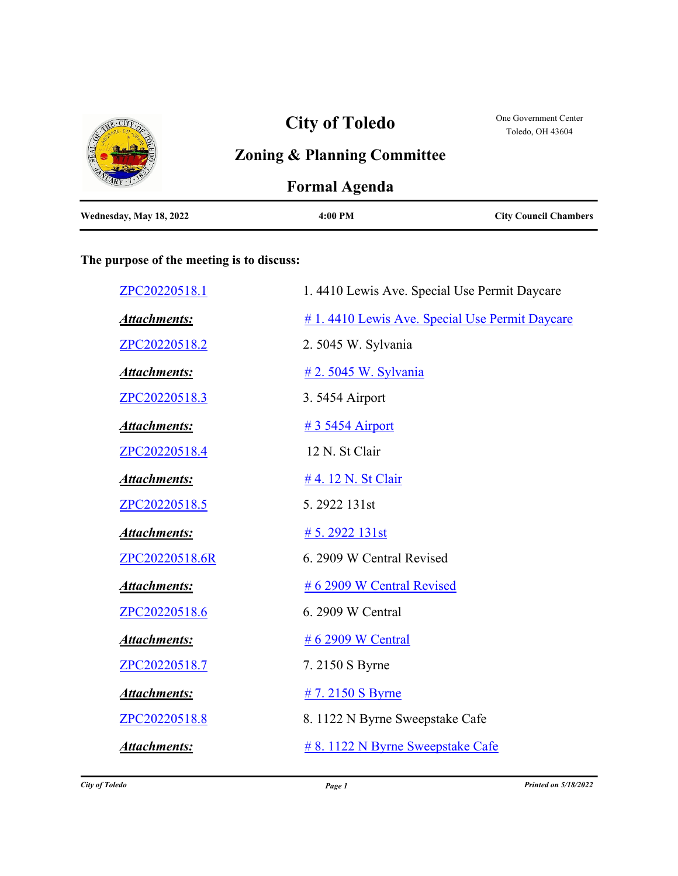|                         | <b>City of Toledo</b>                  | One Government Center<br>Toledo, OH 43604 |
|-------------------------|----------------------------------------|-------------------------------------------|
|                         | <b>Zoning &amp; Planning Committee</b> |                                           |
|                         | <b>Formal Agenda</b>                   |                                           |
| Wednesday, May 18, 2022 | 4:00 PM                                | <b>City Council Chambers</b>              |

## **The purpose of the meeting is to discuss:**

| ZPC20220518.1       | 1.4410 Lewis Ave. Special Use Permit Daycare  |  |
|---------------------|-----------------------------------------------|--|
| <b>Attachments:</b> | #1.4410 Lewis Ave. Special Use Permit Daycare |  |
| ZPC20220518.2       | 2. 5045 W. Sylvania                           |  |
| Attachments:        | # 2.5045 W. Sylvania                          |  |
| ZPC20220518.3       | 3.5454 Airport                                |  |
| <b>Attachments:</b> | <u>#35454 Airport</u>                         |  |
| ZPC20220518.4       | 12 N. St Clair                                |  |
| Attachments:        | #4.12 N. St Clair                             |  |
| ZPC20220518.5       | 5.2922 131st                                  |  |
| <b>Attachments:</b> | $# 5.2922 131$ st                             |  |
| ZPC20220518.6R      | 6. 2909 W Central Revised                     |  |
| <b>Attachments:</b> | # 6 2909 W Central Revised                    |  |
| ZPC20220518.6       | 6. 2909 W Central                             |  |
| <u>Attachments:</u> | # 6 2909 W Central                            |  |
| ZPC20220518.7       | 7.2150 S Byrne                                |  |
| <b>Attachments:</b> | $# 7.2150 S$ Byrne                            |  |
| ZPC20220518.8       | 8. 1122 N Byrne Sweepstake Cafe               |  |
| <b>Attachments:</b> | # 8. 1122 N Byrne Sweepstake Cafe             |  |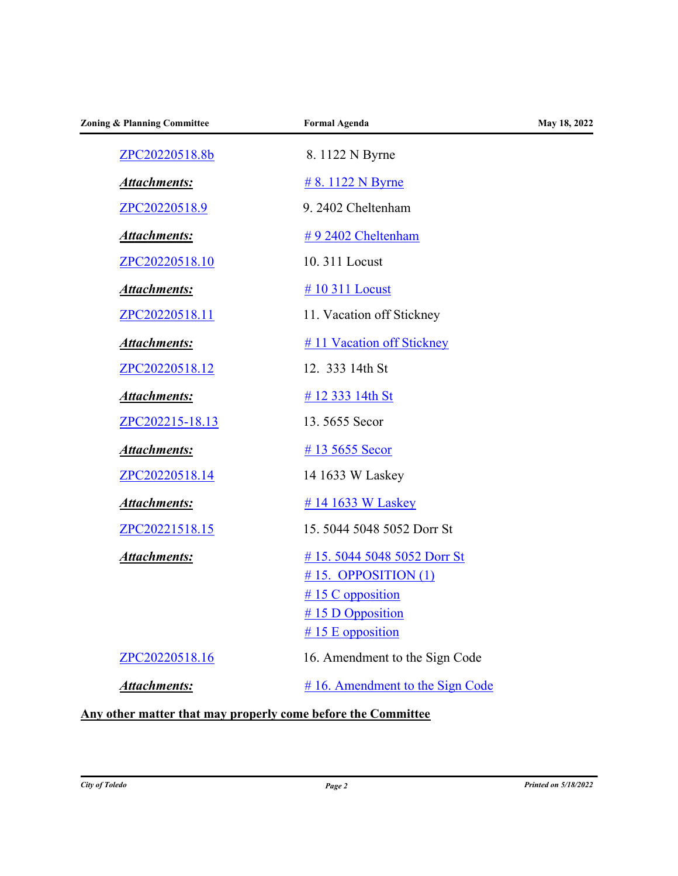| <b>Formal Agenda</b>                                                                                               | May 18, 2022 |
|--------------------------------------------------------------------------------------------------------------------|--------------|
| 8. 1122 N Byrne                                                                                                    |              |
| $# 8.1122 N$ Byrne                                                                                                 |              |
| 9. 2402 Cheltenham                                                                                                 |              |
| #9 2402 Cheltenham                                                                                                 |              |
| 10.311 Locust                                                                                                      |              |
| $\# 10311$ Locust                                                                                                  |              |
| 11. Vacation off Stickney                                                                                          |              |
| #11 Vacation off Stickney                                                                                          |              |
| 12. 333 14th St                                                                                                    |              |
| #12 333 14th St                                                                                                    |              |
| 13.5655 Secor                                                                                                      |              |
| $\# 13\,5655$ Secor                                                                                                |              |
| 14 1633 W Laskey                                                                                                   |              |
| #14 1633 W Laskey                                                                                                  |              |
| 15.5044 5048 5052 Dorr St                                                                                          |              |
| #15.5044 5048 5052 Dorr St<br>#15. OPPOSITION $(1)$<br>#15 C opposition<br>#15 D Opposition<br>$# 15 E$ opposition |              |
| 16. Amendment to the Sign Code                                                                                     |              |
| $# 16$ . Amendment to the Sign Code                                                                                |              |
|                                                                                                                    |              |

## **Any other matter that may properly come before the Committee**